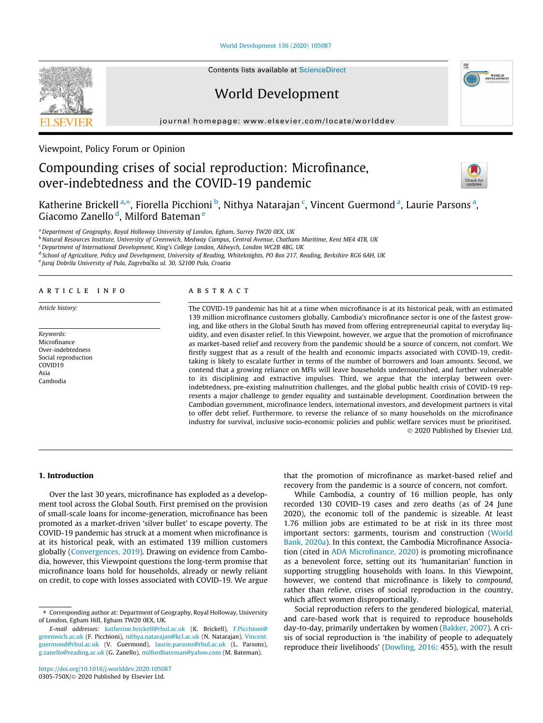[World Development 136 \(2020\) 105087](https://doi.org/10.1016/j.worlddev.2020.105087)



Contents lists available at [ScienceDirect](http://www.sciencedirect.com/science/journal/0305750X)

## World Development

journal homepage: [www.elsevier.com/locate/worlddev](http://www.elsevier.com/locate/worlddev)

## Viewpoint, Policy Forum or Opinion

# Compounding crises of social reproduction: Microfinance, over-indebtedness and the COVID-19 pandemic



Katherine Brickell <sup>a,\*</sup>, Fiorella Picchioni <sup>b</sup>, Nithya Natarajan <sup>c</sup>, Vincent Guermond <sup>a</sup>, Laurie Parsons <sup>a</sup>, Giacomo Zanello <sup>d</sup>, Milford Bateman <sup>e</sup>

a Department of Geography, Royal Holloway University of London, Egham, Surrey TW20 0EX, UK

<sup>b</sup> Natural Resources Institute, University of Greenwich, Medway Campus, Central Avenue, Chatham Maritime, Kent ME4 4TB, UK

<sup>c</sup> Department of International Development, King's College London, Aldwych, London WC2B 4BG, UK

<sup>d</sup> School of Agriculture, Policy and Development, University of Reading, Whiteknights, PO Box 217, Reading, Berkshire RG6 6AH, UK

e Juraj Dobrila University of Pula, Zagrebačka ul. 30, 52100 Pula, Croatia

#### article info

Article history:

Keywords: Microfinance Over-indebtedness Social reproduction COVID19 Asia Cambodia

#### ABSTRACT

The COVID-19 pandemic has hit at a time when microfinance is at its historical peak, with an estimated 139 million microfinance customers globally. Cambodia's microfinance sector is one of the fastest growing, and like others in the Global South has moved from offering entrepreneurial capital to everyday liquidity, and even disaster relief. In this Viewpoint, however, we argue that the promotion of microfinance as market-based relief and recovery from the pandemic should be a source of concern, not comfort. We firstly suggest that as a result of the health and economic impacts associated with COVID-19, credittaking is likely to escalate further in terms of the number of borrowers and loan amounts. Second, we contend that a growing reliance on MFIs will leave households undernourished, and further vulnerable to its disciplining and extractive impulses. Third, we argue that the interplay between overindebtedness, pre-existing malnutrition challenges, and the global public health crisis of COVID-19 represents a major challenge to gender equality and sustainable development. Coordination between the Cambodian government, microfinance lenders, international investors, and development partners is vital to offer debt relief. Furthermore, to reverse the reliance of so many households on the microfinance industry for survival, inclusive socio-economic policies and public welfare services must be prioritised. 2020 Published by Elsevier Ltd.

## 1. Introduction

Over the last 30 years, microfinance has exploded as a development tool across the Global South. First premised on the provision of small-scale loans for income-generation, microfinance has been promoted as a market-driven 'silver bullet' to escape poverty. The COVID-19 pandemic has struck at a moment when microfinance is at its historical peak, with an estimated 139 million customers globally [\(Convergences, 2019](#page-2-0)). Drawing on evidence from Cambodia, however, this Viewpoint questions the long-term promise that microfinance loans hold for households, already or newly reliant on credit, to cope with losses associated with COVID-19. We argue that the promotion of microfinance as market-based relief and recovery from the pandemic is a source of concern, not comfort.

While Cambodia, a country of 16 million people, has only recorded 130 COVID-19 cases and zero deaths (as of 24 June 2020), the economic toll of the pandemic is sizeable. At least 1.76 million jobs are estimated to be at risk in its three most important sectors: garments, tourism and construction ([World](#page-3-0) [Bank, 2020a\)](#page-3-0). In this context, the Cambodia Microfinance Association (cited in [ADA Microfinance, 2020](#page-2-0)) is promoting microfinance as a benevolent force, setting out its 'humanitarian' function in supporting struggling households with loans. In this Viewpoint, however, we contend that microfinance is likely to compound, rather than relieve, crises of social reproduction in the country, which affect women disproportionally.

Social reproduction refers to the gendered biological, material, and care-based work that is required to reproduce households day-to-day, primarily undertaken by women ([Bakker, 2007\)](#page-2-0). A crisis of social reproduction is 'the inability of people to adequately reproduce their livelihoods' [\(Dowling, 2016:](#page-2-0) 455), with the result

<sup>⇑</sup> Corresponding author at: Department of Geography, Royal Holloway, University of London, Egham Hill, Egham TW20 0EX, UK.

E-mail addresses: [katherine.brickell@rhul.ac.uk](mailto:katherine.brickell@rhul.ac.uk) (K. Brickell), [F.Picchioni@](mailto:F.Picchioni@   greenwich.ac.uk) [greenwich.ac.uk](mailto:F.Picchioni@   greenwich.ac.uk) (F. Picchioni), [nithya.natarajan@kcl.ac.uk](mailto:nithya.natarajan@kcl.ac.uk) (N. Natarajan), [Vincent.](mailto:Vincent.guermond@rhul.ac.uk) [guermond@rhul.ac.uk](mailto:Vincent.guermond@rhul.ac.uk) (V. Guermond), [laurie.parsons@rhul.ac.uk](mailto:laurie.parsons@rhul.ac.uk) (L. Parsons), [g.zanello@reading.ac.uk](mailto:          g.zanello@reading.ac.uk) (G. Zanello), [milfordbateman@yahoo.com](mailto:milfordbateman@yahoo.com) (M. Bateman).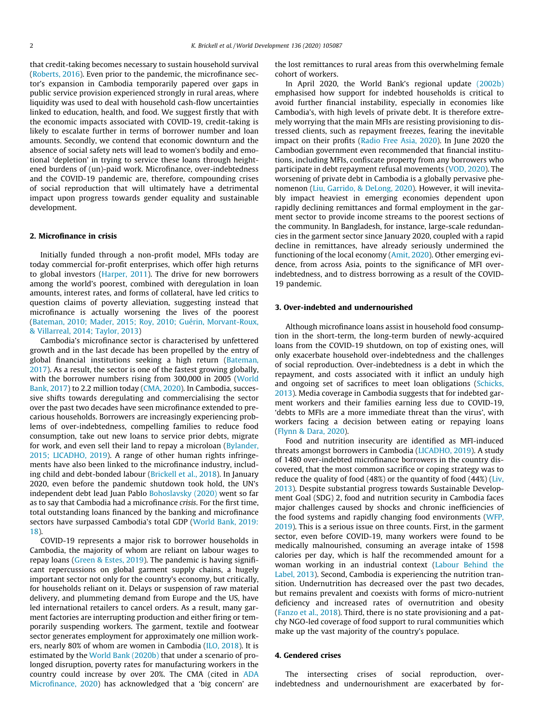that credit-taking becomes necessary to sustain household survival ([Roberts, 2016\)](#page-3-0). Even prior to the pandemic, the microfinance sector's expansion in Cambodia temporarily papered over gaps in public service provision experienced strongly in rural areas, where liquidity was used to deal with household cash-flow uncertainties linked to education, health, and food. We suggest firstly that with the economic impacts associated with COVID-19, credit-taking is likely to escalate further in terms of borrower number and loan amounts. Secondly, we contend that economic downturn and the absence of social safety nets will lead to women's bodily and emotional 'depletion' in trying to service these loans through heightened burdens of (un)-paid work. Microfinance, over-indebtedness and the COVID-19 pandemic are, therefore, compounding crises of social reproduction that will ultimately have a detrimental impact upon progress towards gender equality and sustainable development.

## 2. Microfinance in crisis

Initially funded through a non-profit model, MFIs today are today commercial for-profit enterprises, which offer high returns to global investors ([Harper, 2011](#page-3-0)). The drive for new borrowers among the world's poorest, combined with deregulation in loan amounts, interest rates, and forms of collateral, have led critics to question claims of poverty alleviation, suggesting instead that microfinance is actually worsening the lives of the poorest ([Bateman, 2010; Mader, 2015; Roy, 2010; Guérin, Morvant-Roux,](#page-2-0) [& Villarreal, 2014; Taylor, 2013](#page-2-0))

Cambodia's microfinance sector is characterised by unfettered growth and in the last decade has been propelled by the entry of global financial institutions seeking a high return ([Bateman,](#page-2-0) [2017\)](#page-2-0). As a result, the sector is one of the fastest growing globally, with the borrower numbers rising from 300,000 in 2005 ([World](#page-3-0) [Bank, 2017](#page-3-0)) to 2.2 million today [\(CMA, 2020](#page-2-0)). In Cambodia, successive shifts towards deregulating and commercialising the sector over the past two decades have seen microfinance extended to precarious households. Borrowers are increasingly experiencing problems of over-indebtedness, compelling families to reduce food consumption, take out new loans to service prior debts, migrate for work, and even sell their land to repay a microloan [\(Bylander,](#page-2-0) [2015; LICADHO, 2019\)](#page-2-0). A range of other human rights infringements have also been linked to the microfinance industry, including child and debt-bonded labour [\(Brickell et al., 2018\)](#page-2-0). In January 2020, even before the pandemic shutdown took hold, the UN's independent debt lead Juan Pablo [Bohoslavsky \(2020\)](#page-2-0) went so far as to say that Cambodia had a microfinance crisis. For the first time, total outstanding loans financed by the banking and microfinance sectors have surpassed Cambodia's total GDP ([World Bank, 2019:](#page-3-0) [18](#page-3-0)).

COVID-19 represents a major risk to borrower households in Cambodia, the majority of whom are reliant on labour wages to repay loans ([Green & Estes, 2019\)](#page-3-0). The pandemic is having significant repercussions on global garment supply chains, a hugely important sector not only for the country's economy, but critically, for households reliant on it. Delays or suspension of raw material delivery, and plummeting demand from Europe and the US, have led international retailers to cancel orders. As a result, many garment factories are interrupting production and either firing or temporarily suspending workers. The garment, textile and footwear sector generates employment for approximately one million workers, nearly 80% of whom are women in Cambodia [\(ILO, 2018](#page-3-0)). It is estimated by the [World Bank \(2020b\)](#page-3-0) that under a scenario of prolonged disruption, poverty rates for manufacturing workers in the country could increase by over 20%. The CMA (cited in [ADA](#page-2-0) [Microfinance, 2020](#page-2-0)) has acknowledged that a 'big concern' are the lost remittances to rural areas from this overwhelming female cohort of workers.

In April 2020, the World Bank's regional update [\(2002b\)](#page-3-0) emphasised how support for indebted households is critical to avoid further financial instability, especially in economies like Cambodia's, with high levels of private debt. It is therefore extremely worrying that the main MFIs are resisting provisioning to distressed clients, such as repayment freezes, fearing the inevitable impact on their profits [\(Radio Free Asia, 2020\)](#page-3-0). In June 2020 the Cambodian government even recommended that financial institutions, including MFIs, confiscate property from any borrowers who participate in debt repayment refusal movements [\(VOD, 2020](#page-3-0)). The worsening of private debt in Cambodia is a globally pervasive phenomenon [\(Liu, Garrido, & DeLong, 2020](#page-3-0)). However, it will inevitably impact heaviest in emerging economies dependent upon rapidly declining remittances and formal employment in the garment sector to provide income streams to the poorest sections of the community. In Bangladesh, for instance, large-scale redundancies in the garment sector since January 2020, coupled with a rapid decline in remittances, have already seriously undermined the functioning of the local economy [\(Amit, 2020](#page-2-0)). Other emerging evidence, from across Asia, points to the significance of MFI overindebtedness, and to distress borrowing as a result of the COVID-19 pandemic.

#### 3. Over-indebted and undernourished

Although microfinance loans assist in household food consumption in the short-term, the long-term burden of newly-acquired loans from the COVID-19 shutdown, on top of existing ones, will only exacerbate household over-indebtedness and the challenges of social reproduction. Over-indebtedness is a debt in which the repayment, and costs associated with it inflict an unduly high and ongoing set of sacrifices to meet loan obligations [\(Schicks,](#page-3-0) [2013\)](#page-3-0). Media coverage in Cambodia suggests that for indebted garment workers and their families earning less due to COVID-19, 'debts to MFIs are a more immediate threat than the virus', with workers facing a decision between eating or repaying loans ([Flynn & Dara, 2020\)](#page-2-0).

Food and nutrition insecurity are identified as MFI-induced threats amongst borrowers in Cambodia ([LICADHO, 2019\)](#page-3-0). A study of 1480 over-indebted microfinance borrowers in the country discovered, that the most common sacrifice or coping strategy was to reduce the quality of food (48%) or the quantity of food (44%) ([Liv,](#page-3-0) [2013\)](#page-3-0). Despite substantial progress towards Sustainable Development Goal (SDG) 2, food and nutrition security in Cambodia faces major challenges caused by shocks and chronic inefficiencies of the food systems and rapidly changing food environments ([WFP,](#page-3-0) [2019\)](#page-3-0). This is a serious issue on three counts. First, in the garment sector, even before COVID-19, many workers were found to be medically malnourished, consuming an average intake of 1598 calories per day, which is half the recommended amount for a woman working in an industrial context ([Labour Behind the](#page-3-0) [Label, 2013\)](#page-3-0). Second, Cambodia is experiencing the nutrition transition. Undernutrition has decreased over the past two decades, but remains prevalent and coexists with forms of micro-nutrient deficiency and increased rates of overnutrition and obesity ([Fanzo et al., 2018](#page-2-0)). Third, there is no state provisioning and a patchy NGO-led coverage of food support to rural communities which make up the vast majority of the country's populace.

### 4. Gendered crises

The intersecting crises of social reproduction, overindebtedness and undernourishment are exacerbated by for-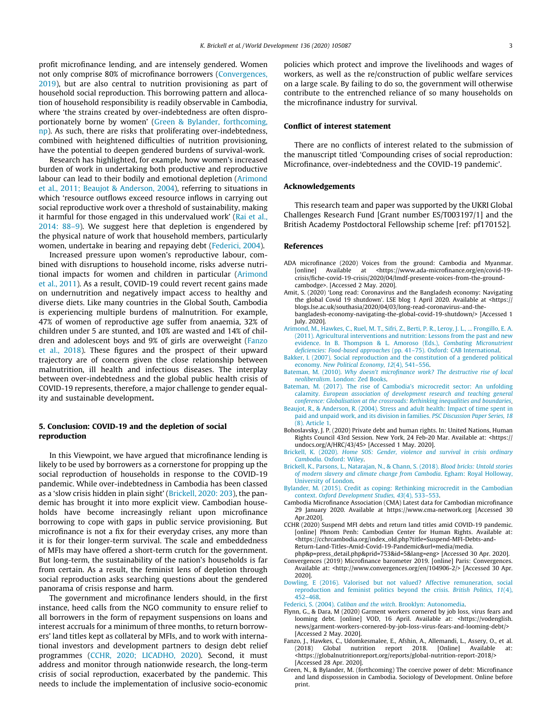<span id="page-2-0"></span>profit microfinance lending, and are intensely gendered. Women not only comprise 80% of microfinance borrowers (Convergences, 2019), but are also central to nutrition provisioning as part of household social reproduction. This borrowing pattern and allocation of household responsibility is readily observable in Cambodia, where 'the strains created by over-indebtedness are often disproportionately borne by women' (Green & Bylander, forthcoming, np). As such, there are risks that proliferating over-indebtedness, combined with heightened difficulties of nutrition provisioning, have the potential to deepen gendered burdens of survival-work.

Research has highlighted, for example, how women's increased burden of work in undertaking both productive and reproductive labour can lead to their bodily and emotional depletion (Arimond et al., 2011; Beaujot & Anderson, 2004), referring to situations in which 'resource outflows exceed resource inflows in carrying out social reproductive work over a threshold of sustainability, making it harmful for those engaged in this undervalued work' ([Rai et al.,](#page-3-0) [2014: 88–9](#page-3-0)). We suggest here that depletion is engendered by the physical nature of work that household members, particularly women, undertake in bearing and repaying debt (Federici, 2004).

Increased pressure upon women's reproductive labour, combined with disruptions to household income, risks adverse nutritional impacts for women and children in particular (Arimond et al., 2011). As a result, COVID-19 could revert recent gains made on undernutrition and negatively impact access to healthy and diverse diets. Like many countries in the Global South, Cambodia is experiencing multiple burdens of malnutrition. For example, 47% of women of reproductive age suffer from anaemia, 32% of children under 5 are stunted, and 10% are wasted and 14% of children and adolescent boys and 9% of girls are overweight (Fanzo et al., 2018). These figures and the prospect of their upward trajectory are of concern given the close relationship between malnutrition, ill health and infectious diseases. The interplay between over-indebtedness and the global public health crisis of COVID-19 represents, therefore, a major challenge to gender equality and sustainable development.

### 5. Conclusion: COVID-19 and the depletion of social reproduction

In this Viewpoint, we have argued that microfinance lending is likely to be used by borrowers as a cornerstone for propping up the social reproduction of households in response to the COVID-19 pandemic. While over-indebtedness in Cambodia has been classed as a 'slow crisis hidden in plain sight' (Brickell, 2020: 203), the pandemic has brought it into more explicit view. Cambodian households have become increasingly reliant upon microfinance borrowing to cope with gaps in public service provisioning. But microfinance is not a fix for their everyday crises, any more than it is for their longer-term survival. The scale and embeddedness of MFIs may have offered a short-term crutch for the government. But long-term, the sustainability of the nation's households is far from certain. As a result, the feminist lens of depletion through social reproduction asks searching questions about the gendered panorama of crisis response and harm.

The government and microfinance lenders should, in the first instance, heed calls from the NGO community to ensure relief to all borrowers in the form of repayment suspensions on loans and interest accruals for a minimum of three months, to return borrowers' land titles kept as collateral by MFIs, and to work with international investors and development partners to design debt relief programmes (CCHR, 2020; LICADHO, 2020). Second, it must address and monitor through nationwide research, the long-term crisis of social reproduction, exacerbated by the pandemic. This needs to include the implementation of inclusive socio-economic policies which protect and improve the livelihoods and wages of workers, as well as the re/construction of public welfare services on a large scale. By failing to do so, the government will otherwise contribute to the entrenched reliance of so many households on the microfinance industry for survival.

#### Conflict of interest statement

There are no conflicts of interest related to the submission of the manuscript titled 'Compounding crises of social reproduction: Microfinance, over-indebtedness and the COVID-19 pandemic'.

#### Acknowledgements

This research team and paper was supported by the UKRI Global Challenges Research Fund [Grant number ES/T003197/1] and the British Academy Postdoctoral Fellowship scheme [ref: pf170152].

#### References

- ADA microfinance (2020) Voices from the ground: Cambodia and Myanmar.<br>[online] Available at <https://www.ada-microfinance.org/en/covid-19-Available at <https://www.ada-microfinance.org/en/covid-19crisis/fiche-covid-19-crisis/2020/04/lmdf-presente-voices-from-the-groundcambodge>. [Accessed 2 May. 2020].
- Amit, S. (2020) 'Long read: Coronavirus and the Bangladesh economy: Navigating the global Covid 19 shutdown'. LSE blog 1 April 2020. Available at <https:// blogs.lse.ac.uk/southasia/2020/04/03/long-read-coronavirus-and-thebangladesh-economy-navigating-the-global-covid-19-shutdown/> [Accessed 1 July. 2020].
- [Arimond, M., Hawkes, C., Ruel, M. T., Sifri, Z., Berti, P. R., Leroy, J. L., ... Frongillo, E. A.](http://refhub.elsevier.com/S0305-750X(20)30213-8/h0015) [\(2011\). Agricultural interventions and nutrition: Lessons from the past and new](http://refhub.elsevier.com/S0305-750X(20)30213-8/h0015) [evidence. In B. Thompson & L. Amoroso \(Eds.\),](http://refhub.elsevier.com/S0305-750X(20)30213-8/h0015) Combating Micronutrient deficiencies: Food-based approaches [\(pp. 41–75\). Oxford: CAB International](http://refhub.elsevier.com/S0305-750X(20)30213-8/h0015).
- [Bakker, I. \(2007\). Social reproduction and the constitution of a gendered political](http://refhub.elsevier.com/S0305-750X(20)30213-8/h0020) economy. [New Political Economy, 12](http://refhub.elsevier.com/S0305-750X(20)30213-8/h0020)(4), 541–556.
- Bateman, M. (2010). [Why doesn't microfinance work? The destructive rise of local](http://refhub.elsevier.com/S0305-750X(20)30213-8/h0025) neoliberalism[. London: Zed Books.](http://refhub.elsevier.com/S0305-750X(20)30213-8/h0025)
- [Bateman, M. \(2017\). The rise of Cambodia's microcredit sector: An unfolding](http://refhub.elsevier.com/S0305-750X(20)30213-8/h0030) calamity. [European association of development research and teaching general](http://refhub.elsevier.com/S0305-750X(20)30213-8/h0030) [conference: Globalisation at the crossroads: Rethinking inequalities and boundaries](http://refhub.elsevier.com/S0305-750X(20)30213-8/h0030).
- [Beaujot, R., & Anderson, R. \(2004\). Stress and adult health: Impact of time spent in](http://refhub.elsevier.com/S0305-750X(20)30213-8/h0035) [paid and unpaid work, and its division in families.](http://refhub.elsevier.com/S0305-750X(20)30213-8/h0035) PSC Discussion Paper Series, 18 [\(8\). Article 1.](http://refhub.elsevier.com/S0305-750X(20)30213-8/h0035)
- Bohoslavsky, J. P. (2020) Private debt and human rights. In: United Nations, Human Rights Council 43rd Session. New York, 24 Feb-20 Mar. Available at: <https:// undocs.org/A/HRC/43/45> [Accessed 1 May. 2020].
- Brickell, K. (2020). [Home SOS: Gender, violence and survival in crisis ordinary](http://refhub.elsevier.com/S0305-750X(20)30213-8/h0045) Cambodia[. Oxford: Wiley.](http://refhub.elsevier.com/S0305-750X(20)30213-8/h0045)
- [Brickell, K., Parsons, L., Natarajan, N., & Chann, S. \(2018\).](http://refhub.elsevier.com/S0305-750X(20)30213-8/h0050) Blood bricks: Untold stories [of modern slavery and climate change from Cambodia](http://refhub.elsevier.com/S0305-750X(20)30213-8/h0050). Egham: Royal Holloway, [University of London](http://refhub.elsevier.com/S0305-750X(20)30213-8/h0050).
- [Bylander, M. \(2015\). Credit as coping: Rethinking microcredit in the Cambodian](http://refhub.elsevier.com/S0305-750X(20)30213-8/h0055) context. [Oxford Development Studies, 43](http://refhub.elsevier.com/S0305-750X(20)30213-8/h0055)(4), 533–553.
- Cambodia Microfinance Association (CMA) Latest data for Cambodian microfinance 29 January 2020. Available at https://www.cma-network.org [Accessed 30 Apr.2020].
- CCHR (2020) Suspend MFI debts and return land titles amid COVID-19 pandemic. [online] Phnom Penh: Cambodian Center for Human Rights. Available at: <https://cchrcambodia.org/index\_old.php?title=Suspend-MFI-Debts-and-Return-Land-Titles-Amid-Covid-19-Pandemic&url=media/media.

php&p=press\_detail.php&prid=753&id=5&lang=eng> [Accessed 30 Apr. 2020].

- Convergences (2019) Microfinance barometer 2019. [online] Paris: Convergences. Available at: <http://www.convergences.org/en/104906-2/> [Accessed 30 Apr. 2020].
- [Dowling, E \(2016\). Valorised but not valued? Affective remuneration, social](http://refhub.elsevier.com/S0305-750X(20)30213-8/opt7FL127KkP5) [reproduction and feminist politics beyond the crisis.](http://refhub.elsevier.com/S0305-750X(20)30213-8/opt7FL127KkP5) British Politics, 11(4), [452–468](http://refhub.elsevier.com/S0305-750X(20)30213-8/opt7FL127KkP5).
- Federici, S. (2004). Caliban and the witch[. Brooklyn: Autonomedia.](http://refhub.elsevier.com/S0305-750X(20)30213-8/h0075)
- Flynn, G., & Dara, M (2020) Garment workers cornered by job loss, virus fears and looming debt. [online] VOD, 16 April. Available at: <https://vodenglish. news/garment-workers-cornered-by-job-loss-virus-fears-and-looming-debt/> [Accessed 2 May. 2020].
- Fanzo, J., Hawkes, C., Udomkesmalee, E., Afshin, A., Allemandi, L., Assery, O., et al.  $(2018)$  Global nutrition report 2018. [Online] Available <https://globalnutritionreport.org/reports/global-nutrition-report-2018/> [Accessed 28 Apr. 2020].
- Green, N., & Bylander, M. (forthcoming) The coercive power of debt: Microfinance and land dispossession in Cambodia. Sociology of Development. Online before print.